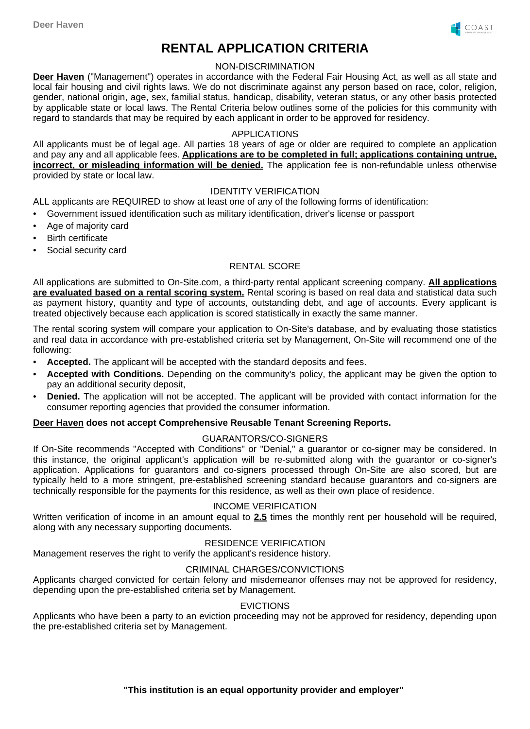

# **RENTAL APPLICATION CRITERIA**

## NON-DISCRIMINATION

**Deer Haven** ("Management") operates in accordance with the Federal Fair Housing Act, as well as all state and local fair housing and civil rights laws. We do not discriminate against any person based on race, color, religion, gender, national origin, age, sex, familial status, handicap, disability, veteran status, or any other basis protected by applicable state or local laws. The Rental Criteria below outlines some of the policies for this community with regard to standards that may be required by each applicant in order to be approved for residency.

## APPLICATIONS

All applicants must be of legal age. All parties 18 years of age or older are required to complete an application and pay any and all applicable fees. **Applications are to be completed in full; applications containing untrue, incorrect, or misleading information will be denied.** The application fee is non-refundable unless otherwise provided by state or local law.

## IDENTITY VERIFICATION

ALL applicants are REQUIRED to show at least one of any of the following forms of identification:

- Government issued identification such as military identification, driver's license or passport
- Age of majority card
- **Birth certificate**
- Social security card

## RENTAL SCORE

All applications are submitted to On-Site.com, a third-party rental applicant screening company. **All applications are evaluated based on a rental scoring system.** Rental scoring is based on real data and statistical data such as payment history, quantity and type of accounts, outstanding debt, and age of accounts. Every applicant is treated objectively because each application is scored statistically in exactly the same manner.

The rental scoring system will compare your application to On-Site's database, and by evaluating those statistics and real data in accordance with pre-established criteria set by Management, On-Site will recommend one of the following:

- **Accepted.** The applicant will be accepted with the standard deposits and fees.
- **Accepted with Conditions.** Depending on the community's policy, the applicant may be given the option to pay an additional security deposit,
- **Denied.** The application will not be accepted. The applicant will be provided with contact information for the consumer reporting agencies that provided the consumer information.

#### **Deer Haven does not accept Comprehensive Reusable Tenant Screening Reports.**

# GUARANTORS/CO-SIGNERS

If On-Site recommends "Accepted with Conditions" or "Denial," a guarantor or co-signer may be considered. In this instance, the original applicant's application will be re-submitted along with the guarantor or co-signer's application. Applications for guarantors and co-signers processed through On-Site are also scored, but are typically held to a more stringent, pre-established screening standard because guarantors and co-signers are technically responsible for the payments for this residence, as well as their own place of residence.

#### INCOME VERIFICATION

Written verification of income in an amount equal to **2.5** times the monthly rent per household will be required, along with any necessary supporting documents.

# RESIDENCE VERIFICATION

Management reserves the right to verify the applicant's residence history.

#### CRIMINAL CHARGES/CONVICTIONS

Applicants charged convicted for certain felony and misdemeanor offenses may not be approved for residency, depending upon the pre-established criteria set by Management.

#### **EVICTIONS**

Applicants who have been a party to an eviction proceeding may not be approved for residency, depending upon the pre-established criteria set by Management.